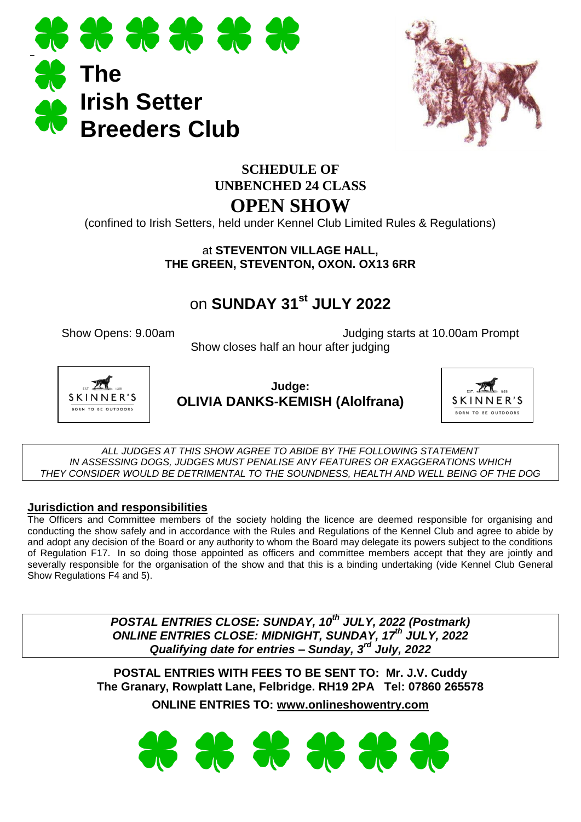



## **SCHEDULE OF UNBENCHED 24 CLASS OPEN SHOW**

(confined to Irish Setters, held under Kennel Club Limited Rules & Regulations)

#### at **STEVENTON VILLAGE HALL, THE GREEN, STEVENTON, OXON. OX13 6RR**

# on **SUNDAY 31st JULY 2022**

Show Opens: 9.00am Judging starts at 10.00am Prompt Show closes half an hour after judging



**Judge: OLIVIA DANKS-KEMISH (Alolfrana)**



*ALL JUDGES AT THIS SHOW AGREE TO ABIDE BY THE FOLLOWING STATEMENT IN ASSESSING DOGS, JUDGES MUST PENALISE ANY FEATURES OR EXAGGERATIONS WHICH THEY CONSIDER WOULD BE DETRIMENTAL TO THE SOUNDNESS, HEALTH AND WELL BEING OF THE DOG*

#### **Jurisdiction and responsibilities**

The Officers and Committee members of the society holding the licence are deemed responsible for organising and conducting the show safely and in accordance with the Rules and Regulations of the Kennel Club and agree to abide by and adopt any decision of the Board or any authority to whom the Board may delegate its powers subject to the conditions of Regulation F17. In so doing those appointed as officers and committee members accept that they are jointly and severally responsible for the organisation of the show and that this is a binding undertaking (vide Kennel Club General Show Regulations F4 and 5).

> *POSTAL ENTRIES CLOSE: SUNDAY, 10 th JULY, 2022 (Postmark) ONLINE ENTRIES CLOSE: MIDNIGHT, SUNDAY, 17 th JULY, 2022 Qualifying date for entries – Sunday, 3 rd July, 2022*

**POSTAL ENTRIES WITH FEES TO BE SENT TO: Mr. J.V. Cuddy The Granary, Rowplatt Lane, Felbridge. RH19 2PA Tel: 07860 265578 ONLINE ENTRIES TO: [www.onlineshowentry.com](http://www.onlineshowentry.com/)**

**36 36 36 36 36 36**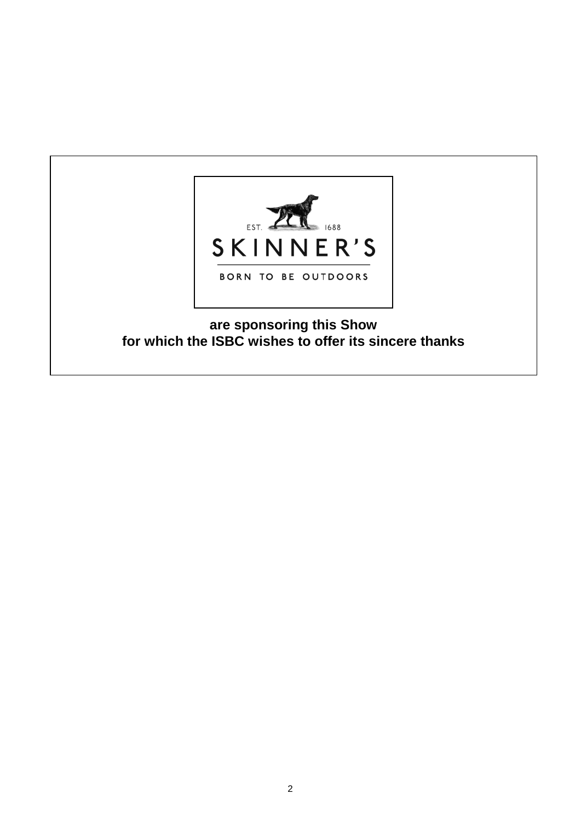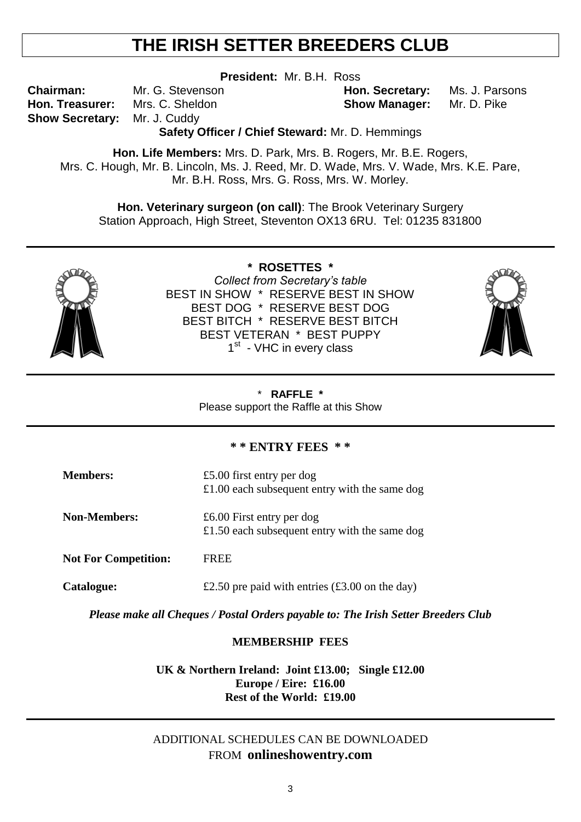# **THE IRISH SETTER BREEDERS CLUB**

**President:** Mr. B.H. Ross

**Show Secretary:** Mr. J. Cuddy

**Chairman:** Mr. G. Stevenson **Hon. Secretary:** Ms. J. Parsons **Hon. Treasurer:** Mrs. C. Sheldon **Show Manager:** Mr. D. Pike

**Safety Officer / Chief Steward:** Mr. D. Hemmings

**Hon. Life Members:** Mrs. D. Park, Mrs. B. Rogers, Mr. B.E. Rogers, Mrs. C. Hough, Mr. B. Lincoln, Ms. J. Reed, Mr. D. Wade, Mrs. V. Wade, Mrs. K.E. Pare, Mr. B.H. Ross, Mrs. G. Ross, Mrs. W. Morley.

**Hon. Veterinary surgeon (on call)**: The Brook Veterinary Surgery Station Approach, High Street, Steventon OX13 6RU. Tel: 01235 831800



**\* ROSETTES \*** *Collect from Secretary's table* BEST IN SHOW \* RESERVE BEST IN SHOW BEST DOG \* RESERVE BEST DOG BEST BITCH \* RESERVE BEST BITCH BEST VETERAN \* BEST PUPPY 1<sup>st</sup> - VHC in every class



#### \* **RAFFLE \***

Please support the Raffle at this Show

#### **\* \* ENTRY FEES \* \***

| <b>Members:</b>             | £5.00 first entry per dog<br>£1.00 each subsequent entry with the same dog |
|-----------------------------|----------------------------------------------------------------------------|
| <b>Non-Members:</b>         | £6.00 First entry per dog<br>£1.50 each subsequent entry with the same dog |
| <b>Not For Competition:</b> | <b>FREE</b>                                                                |
| <b>Catalogue:</b>           | £2.50 pre paid with entries $(\text{\pounds}3.00 \text{ on the day})$      |

*Please make all Cheques / Postal Orders payable to: The Irish Setter Breeders Club* 

#### **MEMBERSHIP FEES**

**UK & Northern Ireland: Joint £13.00; Single £12.00 Europe / Eire: £16.00 Rest of the World: £19.00**

#### ADDITIONAL SCHEDULES CAN BE DOWNLOADED FROM **onlineshowentry.com**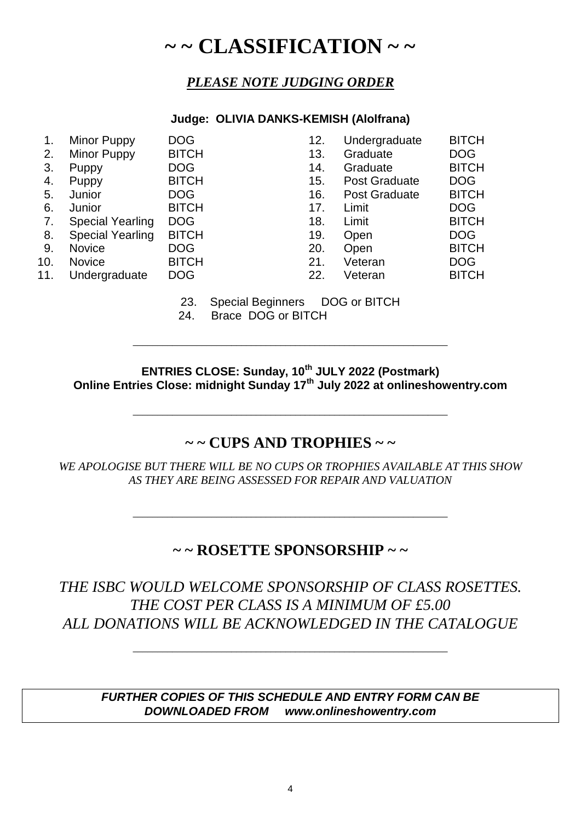# **~ ~ CLASSIFICATION ~ ~**

## *PLEASE NOTE JUDGING ORDER*

#### **Judge: OLIVIA DANKS-KEMISH (Alolfrana)**

| 1.  | Minor Puppy             | <b>DOG</b>   | 12. | Undergraduate        | <b>BITCH</b> |
|-----|-------------------------|--------------|-----|----------------------|--------------|
| 2.  | <b>Minor Puppy</b>      | <b>BITCH</b> | 13. | Graduate             | <b>DOG</b>   |
| 3.  | Puppy                   | <b>DOG</b>   | 14. | Graduate             | <b>BITCH</b> |
| 4.  | Puppy                   | <b>BITCH</b> | 15. | <b>Post Graduate</b> | <b>DOG</b>   |
| 5.  | Junior                  | <b>DOG</b>   | 16. | <b>Post Graduate</b> | <b>BITCH</b> |
| 6.  | Junior                  | <b>BITCH</b> | 17. | Limit                | <b>DOG</b>   |
| 7.  | <b>Special Yearling</b> | <b>DOG</b>   | 18. | Limit                | <b>BITCH</b> |
| 8.  | <b>Special Yearling</b> | <b>BITCH</b> | 19. | Open                 | <b>DOG</b>   |
| 9.  | <b>Novice</b>           | <b>DOG</b>   | 20. | Open                 | <b>BITCH</b> |
| 10. | <b>Novice</b>           | <b>BITCH</b> | 21. | Veteran              | <b>DOG</b>   |
| 11. | Undergraduate           | <b>DOG</b>   | 22. | Veteran              | <b>BITCH</b> |
|     |                         |              |     |                      |              |
|     |                         |              |     |                      |              |

23. Special Beginners DOG or BITCH

24. Brace DOG or BITCH

**ENTRIES CLOSE: Sunday, 10th JULY 2022 (Postmark) Online Entries Close: midnight Sunday 17th July 2022 at onlineshowentry.com**

\_\_\_\_\_\_\_\_\_\_\_\_\_\_\_\_\_\_\_\_\_\_\_\_\_\_\_\_\_\_\_\_\_\_\_\_\_\_\_\_\_\_\_\_\_\_\_\_\_\_\_\_\_\_\_\_\_\_\_\_\_\_\_\_

\_\_\_\_\_\_\_\_\_\_\_\_\_\_\_\_\_\_\_\_\_\_\_\_\_\_\_\_\_\_\_\_\_\_\_\_\_\_\_\_\_\_\_\_\_\_\_\_\_\_\_\_\_\_\_\_\_\_\_\_\_\_\_\_

## **~ ~ CUPS AND TROPHIES ~ ~**

*WE APOLOGISE BUT THERE WILL BE NO CUPS OR TROPHIES AVAILABLE AT THIS SHOW AS THEY ARE BEING ASSESSED FOR REPAIR AND VALUATION*

## **~ ~ ROSETTE SPONSORSHIP ~ ~**

\_\_\_\_\_\_\_\_\_\_\_\_\_\_\_\_\_\_\_\_\_\_\_\_\_\_\_\_\_\_\_\_\_\_\_\_\_\_\_\_\_\_\_\_\_\_\_\_\_\_\_\_\_\_\_\_\_\_\_\_\_\_\_\_

*THE ISBC WOULD WELCOME SPONSORSHIP OF CLASS ROSETTES. THE COST PER CLASS IS A MINIMUM OF £5.00 ALL DONATIONS WILL BE ACKNOWLEDGED IN THE CATALOGUE*

\_\_\_\_\_\_\_\_\_\_\_\_\_\_\_\_\_\_\_\_\_\_\_\_\_\_\_\_\_\_\_\_\_\_\_\_\_\_\_\_\_\_\_\_\_\_\_\_\_\_\_\_\_\_\_\_\_\_\_\_\_\_\_\_

*FURTHER COPIES OF THIS SCHEDULE AND ENTRY FORM CAN BE DOWNLOADED FROM [www.onlineshowentry.com](http://www.onlineshowentry.com/)*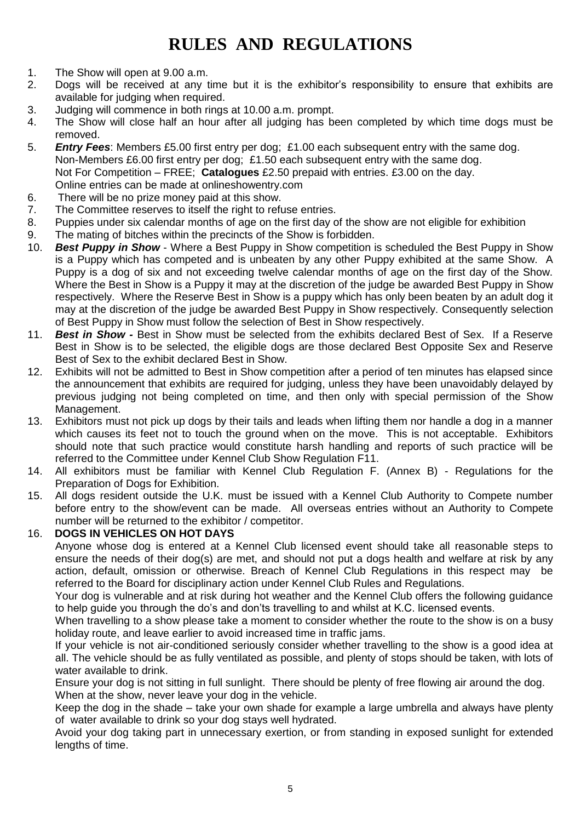# **RULES AND REGULATIONS**

- 1. The Show will open at 9.00 a.m.
- 2. Dogs will be received at any time but it is the exhibitor's responsibility to ensure that exhibits are available for judging when required.
- 3. Judging will commence in both rings at 10.00 a.m. prompt.
- 4. The Show will close half an hour after all judging has been completed by which time dogs must be removed.
- 5. *Entry Fees*: Members £5.00 first entry per dog; £1.00 each subsequent entry with the same dog. Non-Members £6.00 first entry per dog; £1.50 each subsequent entry with the same dog. Not For Competition – FREE; **Catalogues** £2.50 prepaid with entries. £3.00 on the day. Online entries can be made at onlineshowentry.com
- 6. There will be no prize money paid at this show.
- 7. The Committee reserves to itself the right to refuse entries.
- 8. Puppies under six calendar months of age on the first day of the show are not eligible for exhibition
- 9. The mating of bitches within the precincts of the Show is forbidden.
- 10. *Best Puppy in Show* Where a Best Puppy in Show competition is scheduled the Best Puppy in Show is a Puppy which has competed and is unbeaten by any other Puppy exhibited at the same Show. A Puppy is a dog of six and not exceeding twelve calendar months of age on the first day of the Show. Where the Best in Show is a Puppy it may at the discretion of the judge be awarded Best Puppy in Show respectively. Where the Reserve Best in Show is a puppy which has only been beaten by an adult dog it may at the discretion of the judge be awarded Best Puppy in Show respectively. Consequently selection of Best Puppy in Show must follow the selection of Best in Show respectively.
- 11. *Best in Show -* Best in Show must be selected from the exhibits declared Best of Sex. If a Reserve Best in Show is to be selected, the eligible dogs are those declared Best Opposite Sex and Reserve Best of Sex to the exhibit declared Best in Show.
- 12. Exhibits will not be admitted to Best in Show competition after a period of ten minutes has elapsed since the announcement that exhibits are required for judging, unless they have been unavoidably delayed by previous judging not being completed on time, and then only with special permission of the Show Management.
- 13. Exhibitors must not pick up dogs by their tails and leads when lifting them nor handle a dog in a manner which causes its feet not to touch the ground when on the move. This is not acceptable. Exhibitors should note that such practice would constitute harsh handling and reports of such practice will be referred to the Committee under Kennel Club Show Regulation F11.
- 14. All exhibitors must be familiar with Kennel Club Regulation F. (Annex B) Regulations for the Preparation of Dogs for Exhibition.
- 15. All dogs resident outside the U.K. must be issued with a Kennel Club Authority to Compete number before entry to the show/event can be made. All overseas entries without an Authority to Compete number will be returned to the exhibitor / competitor.

#### 16. **DOGS IN VEHICLES ON HOT DAYS**

Anyone whose dog is entered at a Kennel Club licensed event should take all reasonable steps to ensure the needs of their dog(s) are met, and should not put a dogs health and welfare at risk by any action, default, omission or otherwise. Breach of Kennel Club Regulations in this respect may be referred to the Board for disciplinary action under Kennel Club Rules and Regulations.

Your dog is vulnerable and at risk during hot weather and the Kennel Club offers the following guidance to help guide you through the do's and don'ts travelling to and whilst at K.C. licensed events.

When travelling to a show please take a moment to consider whether the route to the show is on a busy holiday route, and leave earlier to avoid increased time in traffic jams.

If your vehicle is not air-conditioned seriously consider whether travelling to the show is a good idea at all. The vehicle should be as fully ventilated as possible, and plenty of stops should be taken, with lots of water available to drink.

Ensure your dog is not sitting in full sunlight. There should be plenty of free flowing air around the dog. When at the show, never leave your dog in the vehicle.

Keep the dog in the shade – take your own shade for example a large umbrella and always have plenty of water available to drink so your dog stays well hydrated.

Avoid your dog taking part in unnecessary exertion, or from standing in exposed sunlight for extended lengths of time.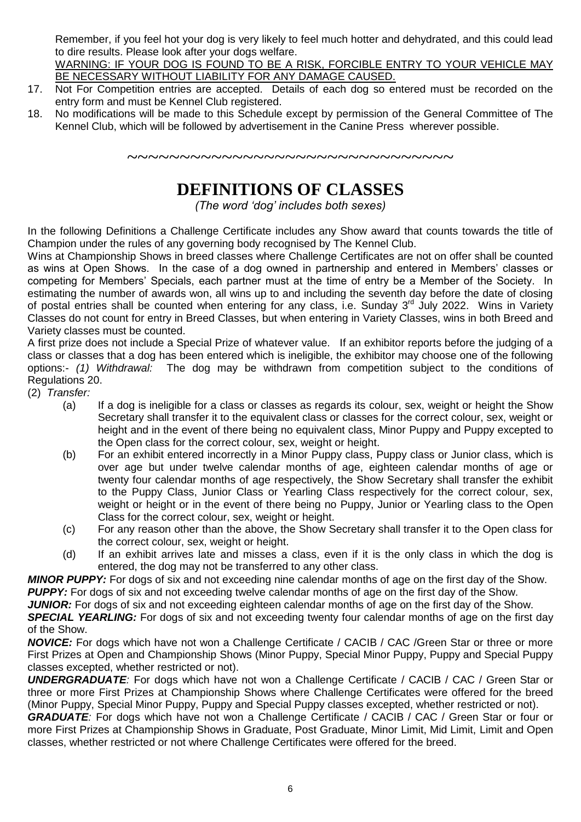Remember, if you feel hot your dog is very likely to feel much hotter and dehydrated, and this could lead to dire results. Please look after your dogs welfare.

WARNING: IF YOUR DOG IS FOUND TO BE A RISK, FORCIBLE ENTRY TO YOUR VEHICLE MAY BE NECESSARY WITHOUT LIABILITY FOR ANY DAMAGE CAUSED.

- 17. Not For Competition entries are accepted. Details of each dog so entered must be recorded on the entry form and must be Kennel Club registered.
- 18. No modifications will be made to this Schedule except by permission of the General Committee of The Kennel Club, which will be followed by advertisement in the Canine Press wherever possible.

~~~~~~~~~~~~~~~~~~~~~~~~~~~~~~

## **DEFINITIONS OF CLASSES**

*(The word 'dog' includes both sexes)*

In the following Definitions a Challenge Certificate includes any Show award that counts towards the title of Champion under the rules of any governing body recognised by The Kennel Club.

Wins at Championship Shows in breed classes where Challenge Certificates are not on offer shall be counted as wins at Open Shows. In the case of a dog owned in partnership and entered in Members' classes or competing for Members' Specials, each partner must at the time of entry be a Member of the Society. In estimating the number of awards won, all wins up to and including the seventh day before the date of closing of postal entries shall be counted when entering for any class, i.e. Sunday 3<sup>rd</sup> July 2022. Wins in Variety Classes do not count for entry in Breed Classes, but when entering in Variety Classes, wins in both Breed and Variety classes must be counted.

A first prize does not include a Special Prize of whatever value. If an exhibitor reports before the judging of a class or classes that a dog has been entered which is ineligible, the exhibitor may choose one of the following options:- *(1) Withdrawal:* The dog may be withdrawn from competition subject to the conditions of Regulations 20.

(2) *Transfer:*

- (a) If a dog is ineligible for a class or classes as regards its colour, sex, weight or height the Show Secretary shall transfer it to the equivalent class or classes for the correct colour, sex, weight or height and in the event of there being no equivalent class, Minor Puppy and Puppy excepted to the Open class for the correct colour, sex, weight or height.
- (b) For an exhibit entered incorrectly in a Minor Puppy class, Puppy class or Junior class, which is over age but under twelve calendar months of age, eighteen calendar months of age or twenty four calendar months of age respectively, the Show Secretary shall transfer the exhibit to the Puppy Class, Junior Class or Yearling Class respectively for the correct colour, sex, weight or height or in the event of there being no Puppy, Junior or Yearling class to the Open Class for the correct colour, sex, weight or height.
- (c) For any reason other than the above, the Show Secretary shall transfer it to the Open class for the correct colour, sex, weight or height.
- (d) If an exhibit arrives late and misses a class, even if it is the only class in which the dog is entered, the dog may not be transferred to any other class.

*MINOR PUPPY:* For dogs of six and not exceeding nine calendar months of age on the first day of the Show. **PUPPY:** For dogs of six and not exceeding twelve calendar months of age on the first day of the Show.

*JUNIOR:* For dogs of six and not exceeding eighteen calendar months of age on the first day of the Show.

**SPECIAL YEARLING:** For dogs of six and not exceeding twenty four calendar months of age on the first day of the Show.

*NOVICE:* For dogs which have not won a Challenge Certificate / CACIB / CAC / Green Star or three or more First Prizes at Open and Championship Shows (Minor Puppy, Special Minor Puppy, Puppy and Special Puppy classes excepted, whether restricted or not).

*UNDERGRADUATE:* For dogs which have not won a Challenge Certificate / CACIB / CAC / Green Star or three or more First Prizes at Championship Shows where Challenge Certificates were offered for the breed (Minor Puppy, Special Minor Puppy, Puppy and Special Puppy classes excepted, whether restricted or not).

*GRADUATE:* For dogs which have not won a Challenge Certificate / CACIB / CAC / Green Star or four or more First Prizes at Championship Shows in Graduate, Post Graduate, Minor Limit, Mid Limit, Limit and Open classes, whether restricted or not where Challenge Certificates were offered for the breed.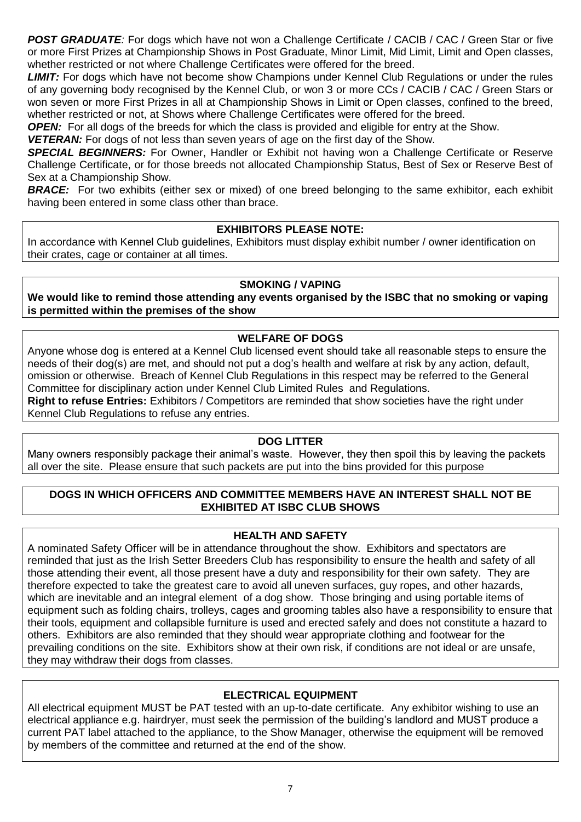*POST GRADUATE:* For dogs which have not won a Challenge Certificate / CACIB / CAC / Green Star or five or more First Prizes at Championship Shows in Post Graduate, Minor Limit, Mid Limit, Limit and Open classes, whether restricted or not where Challenge Certificates were offered for the breed.

*LIMIT:* For dogs which have not become show Champions under Kennel Club Regulations or under the rules of any governing body recognised by the Kennel Club, or won 3 or more CCs / CACIB / CAC / Green Stars or won seven or more First Prizes in all at Championship Shows in Limit or Open classes, confined to the breed, whether restricted or not, at Shows where Challenge Certificates were offered for the breed.

*OPEN:* For all dogs of the breeds for which the class is provided and eligible for entry at the Show.

*VETERAN:* For dogs of not less than seven years of age on the first day of the Show.

*SPECIAL BEGINNERS:* For Owner, Handler or Exhibit not having won a Challenge Certificate or Reserve Challenge Certificate, or for those breeds not allocated Championship Status, Best of Sex or Reserve Best of Sex at a Championship Show.

**BRACE:** For two exhibits (either sex or mixed) of one breed belonging to the same exhibitor, each exhibit having been entered in some class other than brace.

#### **EXHIBITORS PLEASE NOTE:**

In accordance with Kennel Club guidelines, Exhibitors must display exhibit number / owner identification on their crates, cage or container at all times.

#### **SMOKING / VAPING**

**We would like to remind those attending any events organised by the ISBC that no smoking or vaping is permitted within the premises of the show**

#### **WELFARE OF DOGS**

Anyone whose dog is entered at a Kennel Club licensed event should take all reasonable steps to ensure the needs of their dog(s) are met, and should not put a dog's health and welfare at risk by any action, default, omission or otherwise. Breach of Kennel Club Regulations in this respect may be referred to the General Committee for disciplinary action under Kennel Club Limited Rules and Regulations. **Right to refuse Entries:** Exhibitors / Competitors are reminded that show societies have the right under Kennel Club Regulations to refuse any entries.

#### **DOG LITTER**

Many owners responsibly package their animal's waste. However, they then spoil this by leaving the packets all over the site. Please ensure that such packets are put into the bins provided for this purpose

#### **DOGS IN WHICH OFFICERS AND COMMITTEE MEMBERS HAVE AN INTEREST SHALL NOT BE EXHIBITED AT ISBC CLUB SHOWS**

#### **HEALTH AND SAFETY**

A nominated Safety Officer will be in attendance throughout the show. Exhibitors and spectators are reminded that just as the Irish Setter Breeders Club has responsibility to ensure the health and safety of all those attending their event, all those present have a duty and responsibility for their own safety. They are therefore expected to take the greatest care to avoid all uneven surfaces, guy ropes, and other hazards, which are inevitable and an integral element of a dog show. Those bringing and using portable items of equipment such as folding chairs, trolleys, cages and grooming tables also have a responsibility to ensure that their tools, equipment and collapsible furniture is used and erected safely and does not constitute a hazard to others. Exhibitors are also reminded that they should wear appropriate clothing and footwear for the prevailing conditions on the site. Exhibitors show at their own risk, if conditions are not ideal or are unsafe, they may withdraw their dogs from classes.

#### **ELECTRICAL EQUIPMENT**

All electrical equipment MUST be PAT tested with an up-to-date certificate. Any exhibitor wishing to use an electrical appliance e.g. hairdryer, must seek the permission of the building's landlord and MUST produce a current PAT label attached to the appliance, to the Show Manager, otherwise the equipment will be removed by members of the committee and returned at the end of the show.